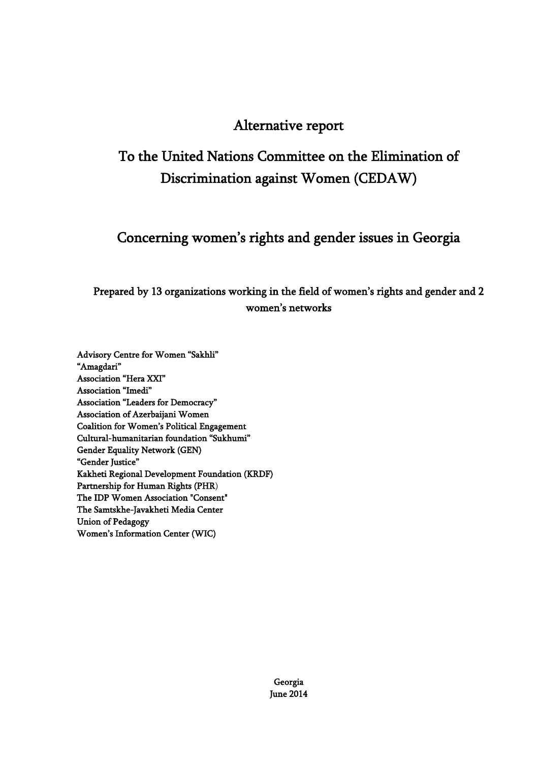## Alternative report

# To the United Nations Committee on the Elimination of Discrimination against Women (CEDAW)

## Concerning women's rights and gender issues in Georgia

## Prepared by 13 organizations working in the field of women's rights and gender and 2 women's networks

Advisory Centre for Women "Sakhli" "Amagdari" Association "Hera XXI" Association "Imedi" Association "Leaders for Democracy" Association of Azerbaijani Women Coalition for Women's Political Engagement Cultural-humanitarian foundation "Sukhumi" Gender Equality Network (GEN) "Gender Justice" Kakheti Regional Development Foundation (KRDF) Partnership for Human Rights (PHR) The IDP Women Association "Consent" The Samtskhe-Javakheti Media Center Union of Pedagogy Women's Information Center (WIC)

> Georgia June 2014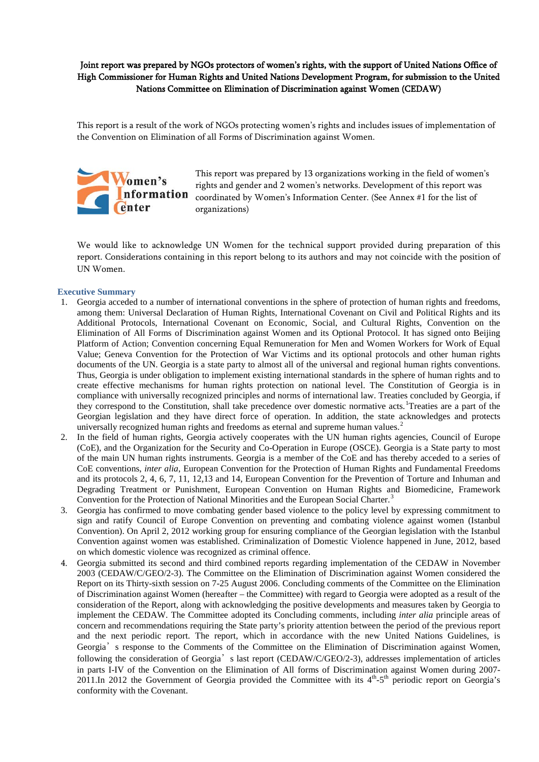Joint report was prepared by NGOs protectors of women's rights, with the support of United Nations Office of High Commissioner for Human Rights and United Nations Development Program, for submission to the United Nations Committee on Elimination of Discrimination against Women (CEDAW)

This report is a result of the work of NGOs protecting women's rights and includes issues of implementation of the Convention on Elimination of all Forms of Discrimination against Women.



This report was prepared by 13 organizations working in the field of women's rights and gender and 2 women's networks. Development of this report was **nformation** coordinated by Women's Information Center. (See Annex #1 for the list of organizations)

We would like to acknowledge UN Women for the technical support provided during preparation of this report. Considerations containing in this report belong to its authors and may not coincide with the position of UN Women.

#### **Executive Summary**

- 1. Georgia acceded to a number of international conventions in the sphere of protection of human rights and freedoms, among them: Universal Declaration of Human Rights, International Covenant on Civil and Political Rights and its Additional Protocols, International Covenant on Economic, Social, and Cultural Rights, Convention on the Elimination of All Forms of Discrimination against Women and its Optional Protocol. It has signed onto Beijing Platform of Action; Convention concerning Equal Remuneration for Men and Women Workers for Work of Equal Value; Geneva Convention for the Protection of War Victims and its optional protocols and other human rights documents of the UN. Georgia is a state party to almost all of the universal and regional human rights conventions. Thus, Georgia is under obligation to implement existing international standards in the sphere of human rights and to create effective mechanisms for human rights protection on national level. The Constitution of Georgia is in compliance with universally recognized principles and norms of international law. Treaties concluded by Georgia, if they correspond to the Constitution, shall take precedence over domestic normative acts. Treaties are a part of the Georgian legislation and they have direct force of operation. In addition, the state acknowledges and protects universally recognized human rights and freedoms as eternal and supreme human values.<sup>[2](#page-23-1)</sup>
- 2. In the field of human rights, Georgia actively cooperates with the UN human rights agencies, Council of Europe (CoE), and the Organization for the Security and Co-Operation in Europe (OSCE). Georgia is a State party to most of the main UN human rights instruments. Georgia is a member of the CoE and has thereby acceded to a series of CoE conventions, *inter alia*, European Convention for the Protection of Human Rights and Fundamental Freedoms and its protocols 2, 4, 6, 7, 11, 12,13 and 14, European Convention for the Prevention of Torture and Inhuman and Degrading Treatment or Punishment, European Convention on Human Rights and Biomedicine, Framework Convention for the Protection of National Minorities and the European Social Charter.<sup>[3](#page-23-2)</sup>
- 3. Georgia has confirmed to move combating gender based violence to the policy level by expressing commitment to sign and ratify Council of Europe Convention on preventing and combating violence against women (Istanbul Convention). On April 2, 2012 working group for ensuring compliance of the Georgian legislation with the Istanbul Convention against women was established. Criminalization of Domestic Violence happened in June, 2012, based on which domestic violence was recognized as criminal offence.
- 4. Georgia submitted its second and third combined reports regarding implementation of the CEDAW in November 2003 (CEDAW/C/GEO/2-3). The Committee on the Elimination of Discrimination against Women considered the Report on its Thirty-sixth session on 7-25 August 2006. Concluding comments of the Committee on the Elimination of Discrimination against Women (hereafter – the Committee) with regard to Georgia were adopted as a result of the consideration of the Report, along with acknowledging the positive developments and measures taken by Georgia to implement the CEDAW. The Committee adopted its Concluding comments, including *inter alia* principle areas of concern and recommendations requiring the State party's priority attention between the period of the previous report and the next periodic report. The report, which in accordance with the new United Nations Guidelines, is Georgia's response to the Comments of the Committee on the Elimination of Discrimination against Women, following the consideration of Georgia<sup>'</sup>s last report (CEDAW/C/GEO/2-3), addresses implementation of articles in parts I-IV of the Convention on the Elimination of All forms of Discrimination against Women during 2007- 2011.In 2012 the Government of Georgia provided the Committee with its  $4<sup>th</sup>$ -5<sup>th</sup> periodic report on Georgia's conformity with the Covenant.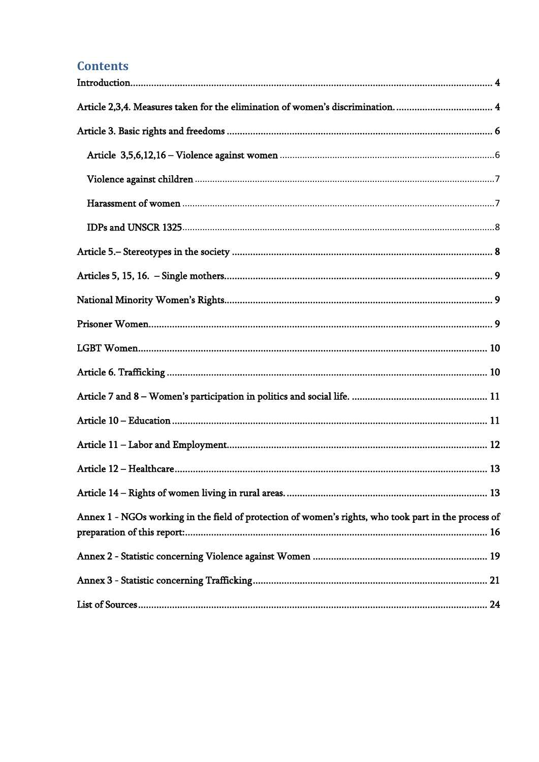## **Contents**

| Article 2,3,4. Measures taken for the elimination of women's discrimination 4                        |  |
|------------------------------------------------------------------------------------------------------|--|
|                                                                                                      |  |
|                                                                                                      |  |
|                                                                                                      |  |
|                                                                                                      |  |
|                                                                                                      |  |
|                                                                                                      |  |
|                                                                                                      |  |
|                                                                                                      |  |
|                                                                                                      |  |
|                                                                                                      |  |
|                                                                                                      |  |
|                                                                                                      |  |
|                                                                                                      |  |
|                                                                                                      |  |
|                                                                                                      |  |
|                                                                                                      |  |
| Annex 1 - NGOs working in the field of protection of women's rights, who took part in the process of |  |
|                                                                                                      |  |
|                                                                                                      |  |
|                                                                                                      |  |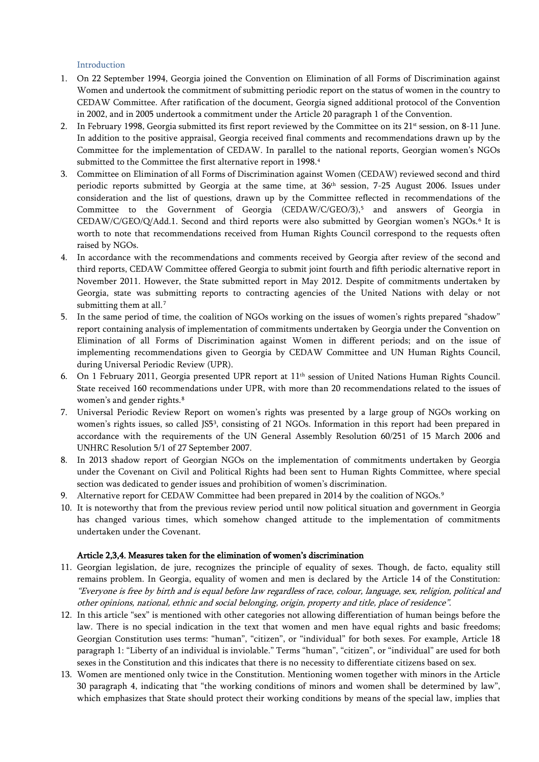## Introduction

- <span id="page-3-0"></span>1. On 22 September 1994, Georgia joined the Convention on Elimination of all Forms of Discrimination against Women and undertook the commitment of submitting periodic report on the status of women in the country to CEDAW Committee. After ratification of the document, Georgia signed additional protocol of the Convention in 2002, and in 2005 undertook a commitment under the Article 20 paragraph 1 of the Convention.
- 2. In February 1998, Georgia submitted its first report reviewed by the Committee on its  $21<sup>st</sup>$  session, on 8-11 June. In addition to the positive appraisal, Georgia received final comments and recommendations drawn up by the Committee for the implementation of CEDAW. In parallel to the national reports, Georgian women's NGOs submitted to the Committee the first alternative report in 1998. [4](#page-23-4)
- 3. Committee on Elimination of all Forms of Discrimination against Women (CEDAW) reviewed second and third periodic reports submitted by Georgia at the same time, at 36<sup>th</sup> session, 7-25 August 2006. Issues under consideration and the list of questions, drawn up by the Committee reflected in recommendations of the Committee to the Government of Georgia (CEDAW/C/GEO/3),<sup>[5](#page-23-5)</sup> and answers of Georgia in CEDAW/C/GEO/Q/Add.1. Second and third reports were also submitted by Georgian women's NGOs.<sup>[6](#page-23-6)</sup> It is worth to note that recommendations received from Human Rights Council correspond to the requests often raised by NGOs.
- 4. In accordance with the recommendations and comments received by Georgia after review of the second and third reports, CEDAW Committee offered Georgia to submit joint fourth and fifth periodic alternative report in November 2011. However, the State submitted report in May 2012. Despite of commitments undertaken by Georgia, state was submitting reports to contracting agencies of the United Nations with delay or not submitting them at all.<sup>[7](#page-23-7)</sup>
- 5. In the same period of time, the coalition of NGOs working on the issues of women's rights prepared "shadow" report containing analysis of implementation of commitments undertaken by Georgia under the Convention on Elimination of all Forms of Discrimination against Women in different periods; and on the issue of implementing recommendations given to Georgia by CEDAW Committee and UN Human Rights Council, during Universal Periodic Review (UPR).
- 6. On 1 February 2011, Georgia presented UPR report at 11th session of United Nations Human Rights Council. State received 160 recommendations under UPR, with more than 20 recommendations related to the issues of women's and gender rights.<sup>[8](#page-23-8)</sup>
- 7. Universal Periodic Review Report on women's rights was presented by a large group of NGOs working on women's rights issues, so called JS53, consisting of 21 NGOs. Information in this report had been prepared in accordance with the requirements of the UN General Assembly Resolution 60/251 of 15 March 2006 and UNHRC Resolution 5/1 of 27 September 2007.
- 8. In 2013 shadow report of Georgian NGOs on the implementation of commitments undertaken by Georgia under the Covenant on Civil and Political Rights had been sent to Human Rights Committee, where special section was dedicated to gender issues and prohibition of women's discrimination.
- [9](#page-23-9). Alternative report for CEDAW Committee had been prepared in 2014 by the coalition of NGOs.<sup>9</sup>
- 10. It is noteworthy that from the previous review period until now political situation and government in Georgia has changed various times, which somehow changed attitude to the implementation of commitments undertaken under the Covenant.

#### <span id="page-3-1"></span>Article 2,3,4. Measures taken for the elimination of women's discrimination

- 11. Georgian legislation, de jure, recognizes the principle of equality of sexes. Though, de facto, equality still remains problem. In Georgia, equality of women and men is declared by the Article 14 of the Constitution: "Everyone is free by birth and is equal before law regardless of race, colour, language, sex, religion, political and other opinions, national, ethnic and social belonging, origin, property and title, place of residence".
- 12. In this article "sex" is mentioned with other categories not allowing differentiation of human beings before the law. There is no special indication in the text that women and men have equal rights and basic freedoms; Georgian Constitution uses terms: "human", "citizen", or "individual" for both sexes. For example, Article 18 paragraph 1: "Liberty of an individual is inviolable." Terms "human", "citizen", or "individual" are used for both sexes in the Constitution and this indicates that there is no necessity to differentiate citizens based on sex.
- 13. Women are mentioned only twice in the Constitution. Mentioning women together with minors in the Article 30 paragraph 4, indicating that "the working conditions of minors and women shall be determined by law", which emphasizes that State should protect their working conditions by means of the special law, implies that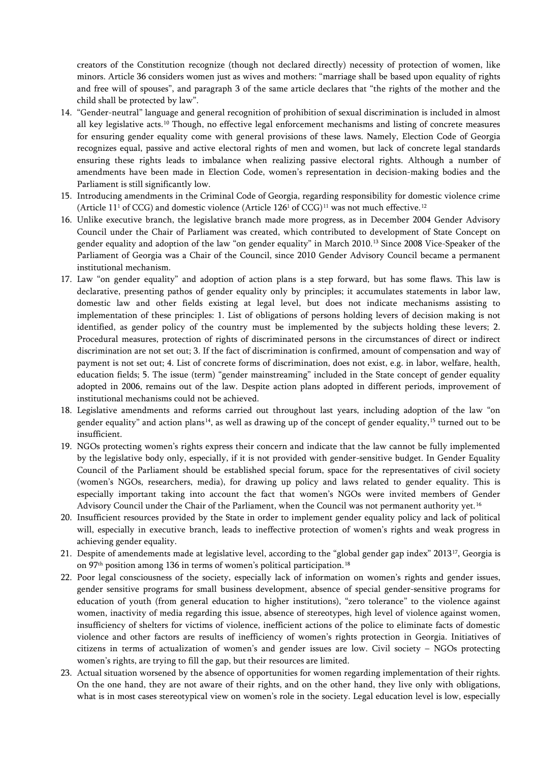creators of the Constitution recognize (though not declared directly) necessity of protection of women, like minors. Article 36 considers women just as wives and mothers: "marriage shall be based upon equality of rights and free will of spouses", and paragraph 3 of the same article declares that "the rights of the mother and the child shall be protected by law".

- 14. "Gender-neutral" language and general recognition of prohibition of sexual discrimination is included in almost all key legislative acts.<sup>[10](#page-23-10)</sup> Though, no effective legal enforcement mechanisms and listing of concrete measures for ensuring gender equality come with general provisions of these laws. Namely, Election Code of Georgia recognizes equal, passive and active electoral rights of men and women, but lack of concrete legal standards ensuring these rights leads to imbalance when realizing passive electoral rights. Although a number of amendments have been made in Election Code, women's representation in decision-making bodies and the Parliament is still significantly low.
- 15. Introducing amendments in the Criminal Code of Georgia, regarding responsibility for domestic violence crime (Article [11](#page-23-11)<sup>1</sup> of CCG) and domestic violence (Article [12](#page-23-12)6<sup>1</sup> of CCG)<sup>11</sup> was not much effective.<sup>12</sup>
- 16. Unlike executive branch, the legislative branch made more progress, as in December 2004 Gender Advisory Council under the Chair of Parliament was created, which contributed to development of State Concept on gender equality and adoption of the law "on gender equality" in March 2010.[13](#page-23-13) Since 2008 Vice-Speaker of the Parliament of Georgia was a Chair of the Council, since 2010 Gender Advisory Council became a permanent institutional mechanism.
- 17. Law "on gender equality" and adoption of action plans is a step forward, but has some flaws. This law is declarative, presenting pathos of gender equality only by principles; it accumulates statements in labor law, domestic law and other fields existing at legal level, but does not indicate mechanisms assisting to implementation of these principles: 1. List of obligations of persons holding levers of decision making is not identified, as gender policy of the country must be implemented by the subjects holding these levers; 2. Procedural measures, protection of rights of discriminated persons in the circumstances of direct or indirect discrimination are not set out; 3. If the fact of discrimination is confirmed, amount of compensation and way of payment is not set out; 4. List of concrete forms of discrimination, does not exist, e.g. in labor, welfare, health, education fields; 5. The issue (term) "gender mainstreaming" included in the State concept of gender equality adopted in 2006, remains out of the law. Despite action plans adopted in different periods, improvement of institutional mechanisms could not be achieved.
- 18. Legislative amendments and reforms carried out throughout last years, including adoption of the law "on gender equality" and action plans<sup>14</sup>, as well as drawing up of the concept of gender equality,<sup>[15](#page-23-15)</sup> turned out to be insufficient.
- 19. NGOs protecting women's rights express their concern and indicate that the law cannot be fully implemented by the legislative body only, especially, if it is not provided with gender-sensitive budget. In Gender Equality Council of the Parliament should be established special forum, space for the representatives of civil society (women's NGOs, researchers, media), for drawing up policy and laws related to gender equality. This is especially important taking into account the fact that women's NGOs were invited members of Gender Advisory Council under the Chair of the Parliament, when the Council was not permanent authority yet.<sup>[16](#page-23-16)</sup>
- 20. Insufficient resources provided by the State in order to implement gender equality policy and lack of political will, especially in executive branch, leads to ineffective protection of women's rights and weak progress in achieving gender equality.
- 21. Despite of amendements made at legislative level, according to the "global gender gap index" 2013[17,](#page-23-17) Georgia is on 97<sup>th</sup> position among 136 in terms of women's political participation.<sup>[18](#page-23-18)</sup>
- 22. Poor legal consciousness of the society, especially lack of information on women's rights and gender issues, gender sensitive programs for small business development, absence of special gender-sensitive programs for education of youth (from general education to higher institutions), "zero tolerance" to the violence against women, inactivity of media regarding this issue, absence of stereotypes, high level of violence against women, insufficiency of shelters for victims of violence, inefficient actions of the police to eliminate facts of domestic violence and other factors are results of inefficiency of women's rights protection in Georgia. Initiatives of citizens in terms of actualization of women's and gender issues are low. Civil society – NGOs protecting women's rights, are trying to fill the gap, but their resources are limited.
- 23. Actual situation worsened by the absence of opportunities for women regarding implementation of their rights. On the one hand, they are not aware of their rights, and on the other hand, they live only with obligations, what is in most cases stereotypical view on women's role in the society. Legal education level is low, especially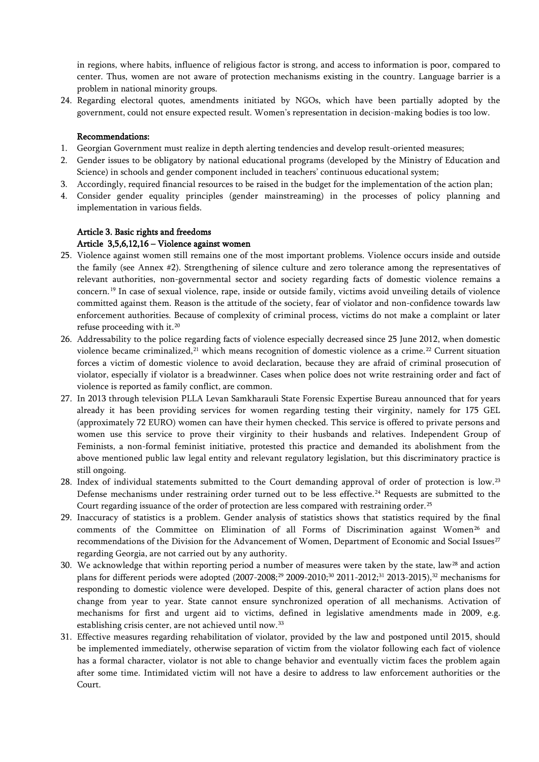in regions, where habits, influence of religious factor is strong, and access to information is poor, compared to center. Thus, women are not aware of protection mechanisms existing in the country. Language barrier is a problem in national minority groups.

24. Regarding electoral quotes, amendments initiated by NGOs, which have been partially adopted by the government, could not ensure expected result. Women's representation in decision-making bodies is too low.

#### Recommendations:

- 1. Georgian Government must realize in depth alerting tendencies and develop result-oriented measures;
- 2. Gender issues to be obligatory by national educational programs (developed by the Ministry of Education and Science) in schools and gender component included in teachers' continuous educational system;
- 3. Accordingly, required financial resources to be raised in the budget for the implementation of the action plan;
- 4. Consider gender equality principles (gender mainstreaming) in the processes of policy planning and implementation in various fields.

## <span id="page-5-1"></span><span id="page-5-0"></span>Article 3. Basic rights and freedoms Article 3,5,6,12,16 – Violence against women

- 25. Violence against women still remains one of the most important problems. Violence occurs inside and outside the family (see Annex #2). Strengthening of silence culture and zero tolerance among the representatives of relevant authorities, non-governmental sector and society regarding facts of domestic violence remains a concern.[19](#page-23-19) In case of sexual violence, rape, inside or outside family, victims avoid unveiling details of violence committed against them. Reason is the attitude of the society, fear of violator and non-confidence towards law enforcement authorities. Because of complexity of criminal process, victims do not make a complaint or later refuse proceeding with it.<sup>[20](#page-23-20)</sup>
- 26. Addressability to the police regarding facts of violence especially decreased since 25 June 2012, when domestic violence became criminalized,<sup>[21](#page-23-21)</sup> which means recognition of domestic violence as a crime.<sup>[22](#page-23-22)</sup> Current situation forces a victim of domestic violence to avoid declaration, because they are afraid of criminal prosecution of violator, especially if violator is a breadwinner. Cases when police does not write restraining order and fact of violence is reported as family conflict, are common.
- 27. In 2013 through television PLLA Levan Samkharauli State Forensic Expertise Bureau announced that for years already it has been providing services for women regarding testing their virginity, namely for 175 GEL (approximately 72 EURO) women can have their hymen checked. This service is offered to private persons and women use this service to prove their virginity to their husbands and relatives. Independent Group of Feminists, a non-formal feminist initiative, protested this practice and demanded its abolishment from the above mentioned public law legal entity and relevant regulatory legislation, but this discriminatory practice is still ongoing.
- 28. Index of individual statements submitted to the Court demanding approval of order of protection is low.<sup>[23](#page-23-23)</sup> Defense mechanisms under restraining order turned out to be less effective.<sup>[24](#page-23-24)</sup> Requests are submitted to the Court regarding issuance of the order of protection are less compared with restraining order.<sup>[25](#page-23-25)</sup>
- 29. Inaccuracy of statistics is a problem. Gender analysis of statistics shows that statistics required by the final comments of the Committee on Elimination of all Forms of Discrimination against Women<sup>[26](#page-23-26)</sup> and recommendations of the Division for the Advancement of Women, Department of Economic and Social Issues<sup>[27](#page-23-27)</sup> regarding Georgia, are not carried out by any authority.
- 30. We acknowledge that within reporting period a number of measures were taken by the state, law<sup>[28](#page-23-28)</sup> and action plans for different periods were adopted (2007-2008;<sup>[29](#page-23-29)</sup> 2009-2010;<sup>[30](#page-23-30)</sup> 2011-2012;<sup>[31](#page-23-31)</sup> 2013-2015),<sup>[32](#page-24-0)</sup> mechanisms for responding to domestic violence were developed. Despite of this, general character of action plans does not change from year to year. State cannot ensure synchronized operation of all mechanisms. Activation of mechanisms for first and urgent aid to victims, defined in legislative amendments made in 2009, e.g. establishing crisis center, are not achieved until now.<sup>[33](#page-24-1)</sup>
- 31. Effective measures regarding rehabilitation of violator, provided by the law and postponed until 2015, should be implemented immediately, otherwise separation of victim from the violator following each fact of violence has a formal character, violator is not able to change behavior and eventually victim faces the problem again after some time. Intimidated victim will not have a desire to address to law enforcement authorities or the Court.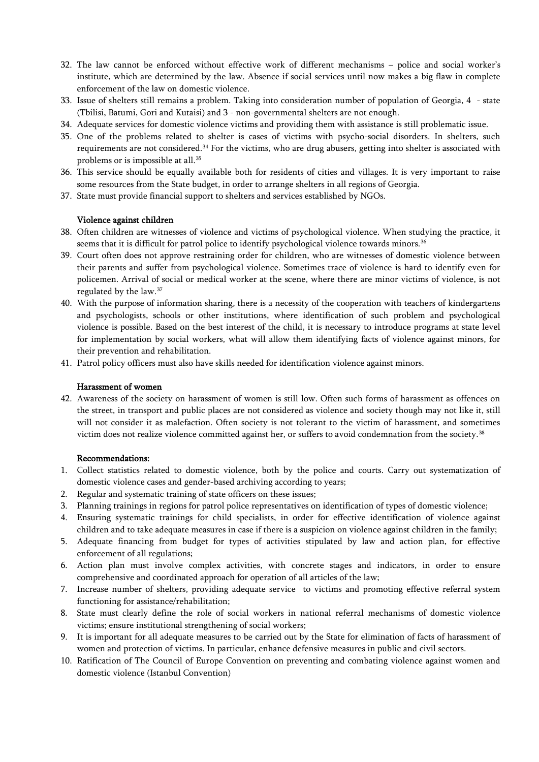- 32. The law cannot be enforced without effective work of different mechanisms police and social worker's institute, which are determined by the law. Absence if social services until now makes a big flaw in complete enforcement of the law on domestic violence.
- 33. Issue of shelters still remains a problem. Taking into consideration number of population of Georgia, 4 state (Tbilisi, Batumi, Gori and Kutaisi) and 3 - non-governmental shelters are not enough.
- 34. Adequate services for domestic violence victims and providing them with assistance is still problematic issue.
- 35. One of the problems related to shelter is cases of victims with psycho-social disorders. In shelters, such requirements are not considered.<sup>[34](#page-24-2)</sup> For the victims, who are drug abusers, getting into shelter is associated with problems or is impossible at all.[35](#page-24-3)
- 36. This service should be equally available both for residents of cities and villages. It is very important to raise some resources from the State budget, in order to arrange shelters in all regions of Georgia.
- 37. State must provide financial support to shelters and services established by NGOs.

#### <span id="page-6-0"></span>Violence against children

- 38. Often children are witnesses of violence and victims of psychological violence. When studying the practice, it seems that it is difficult for patrol police to identify psychological violence towards minors.<sup>[36](#page-24-4)</sup>
- 39. Court often does not approve restraining order for children, who are witnesses of domestic violence between their parents and suffer from psychological violence. Sometimes trace of violence is hard to identify even for policemen. Arrival of social or medical worker at the scene, where there are minor victims of violence, is not regulated by the law.[37](#page-24-5)
- 40. With the purpose of information sharing, there is a necessity of the cooperation with teachers of kindergartens and psychologists, schools or other institutions, where identification of such problem and psychological violence is possible. Based on the best interest of the child, it is necessary to introduce programs at state level for implementation by social workers, what will allow them identifying facts of violence against minors, for their prevention and rehabilitation.
- 41. Patrol policy officers must also have skills needed for identification violence against minors.

#### <span id="page-6-1"></span>Harassment of women

42. Awareness of the society on harassment of women is still low. Often such forms of harassment as offences on the street, in transport and public places are not considered as violence and society though may not like it, still will not consider it as malefaction. Often society is not tolerant to the victim of harassment, and sometimes victim does not realize violence committed against her, or suffers to avoid condemnation from the society.<sup>[38](#page-24-6)</sup>

#### Recommendations:

- 1. Collect statistics related to domestic violence, both by the police and courts. Carry out systematization of domestic violence cases and gender-based archiving according to years;
- 2. Regular and systematic training of state officers on these issues;
- 3. Planning trainings in regions for patrol police representatives on identification of types of domestic violence;
- 4. Ensuring systematic trainings for child specialists, in order for effective identification of violence against children and to take adequate measures in case if there is a suspicion on violence against children in the family;
- 5. Adequate financing from budget for types of activities stipulated by law and action plan, for effective enforcement of all regulations;
- 6. Action plan must involve complex activities, with concrete stages and indicators, in order to ensure comprehensive and coordinated approach for operation of all articles of the law;
- 7. Increase number of shelters, providing adequate service to victims and promoting effective referral system functioning for assistance/rehabilitation;
- 8. State must clearly define the role of social workers in national referral mechanisms of domestic violence victims; ensure institutional strengthening of social workers;
- 9. It is important for all adequate measures to be carried out by the State for elimination of facts of harassment of women and protection of victims. In particular, enhance defensive measures in public and civil sectors.
- <span id="page-6-2"></span>10. Ratification of The Council of Europe Convention on preventing and combating violence against women and domestic violence (Istanbul Convention)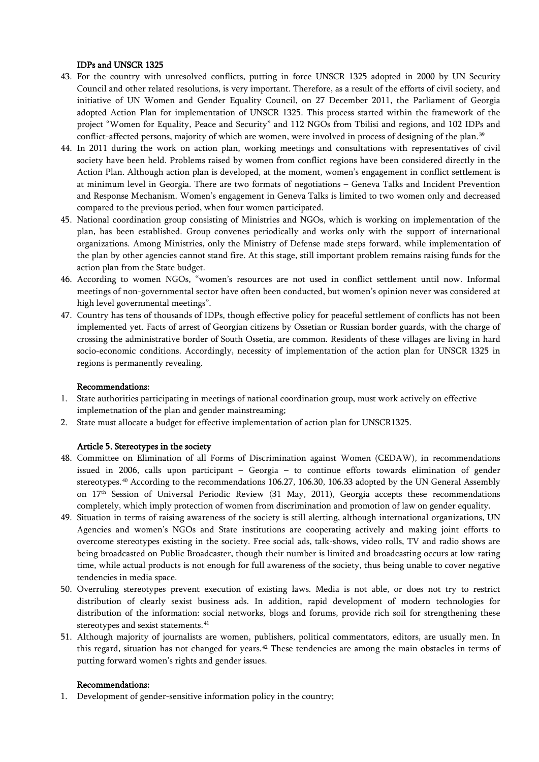## IDPs and UNSCR 1325

- 43. For the country with unresolved conflicts, putting in force UNSCR 1325 adopted in 2000 by UN Security Council and other related resolutions, is very important. Therefore, as a result of the efforts of civil society, and initiative of UN Women and Gender Equality Council, on 27 December 2011, the Parliament of Georgia adopted Action Plan for implementation of UNSCR 1325. This process started within the framework of the project "Women for Equality, Peace and Security" and 112 NGOs from Tbilisi and regions, and 102 IDPs and conflict-affected persons, majority of which are women, were involved in process of designing of the plan.[39](#page-24-7)
- 44. In 2011 during the work on action plan, working meetings and consultations with representatives of civil society have been held. Problems raised by women from conflict regions have been considered directly in the Action Plan. Although action plan is developed, at the moment, women's engagement in conflict settlement is at minimum level in Georgia. There are two formats of negotiations – Geneva Talks and Incident Prevention and Response Mechanism. Women's engagement in Geneva Talks is limited to two women only and decreased compared to the previous period, when four women participated.
- 45. National coordination group consisting of Ministries and NGOs, which is working on implementation of the plan, has been established. Group convenes periodically and works only with the support of international organizations. Among Ministries, only the Ministry of Defense made steps forward, while implementation of the plan by other agencies cannot stand fire. At this stage, still important problem remains raising funds for the action plan from the State budget.
- 46. According to women NGOs, "women's resources are not used in conflict settlement until now. Informal meetings of non-governmental sector have often been conducted, but women's opinion never was considered at high level governmental meetings".
- 47. Country has tens of thousands of IDPs, though effective policy for peaceful settlement of conflicts has not been implemented yet. Facts of arrest of Georgian citizens by Ossetian or Russian border guards, with the charge of crossing the administrative border of South Ossetia, are common. Residents of these villages are living in hard socio-economic conditions. Accordingly, necessity of implementation of the action plan for UNSCR 1325 in regions is permanently revealing.

## Recommendations:

- 1. State authorities participating in meetings of national coordination group, must work actively on effective implemetnation of the plan and gender mainstreaming;
- 2. State must allocate a budget for effective implementation of action plan for UNSCR1325.

#### <span id="page-7-0"></span>Article 5. Stereotypes in the society

- 48. Committee on Elimination of all Forms of Discrimination against Women (CEDAW), in recommendations issued in 2006, calls upon participant – Georgia – to continue efforts towards elimination of gender stereotypes.[40](#page-24-8) According to the recommendations 106.27, 106.30, 106.33 adopted by the UN General Assembly on 17th Session of Universal Periodic Review (31 May, 2011), Georgia accepts these recommendations completely, which imply protection of women from discrimination and promotion of law on gender equality.
- 49. Situation in terms of raising awareness of the society is still alerting, although international organizations, UN Agencies and women's NGOs and State institutions are cooperating actively and making joint efforts to overcome stereotypes existing in the society. Free social ads, talk-shows, video rolls, TV and radio shows are being broadcasted on Public Broadcaster, though their number is limited and broadcasting occurs at low-rating time, while actual products is not enough for full awareness of the society, thus being unable to cover negative tendencies in media space.
- 50. Overruling stereotypes prevent execution of existing laws. Media is not able, or does not try to restrict distribution of clearly sexist business ads. In addition, rapid development of modern technologies for distribution of the information: social networks, blogs and forums, provide rich soil for strengthening these stereotypes and sexist statements.<sup>[41](#page-24-9)</sup>
- 51. Although majority of journalists are women, publishers, political commentators, editors, are usually men. In this regard, situation has not changed for years.<sup>[42](#page-24-10)</sup> These tendencies are among the main obstacles in terms of putting forward women's rights and gender issues.

#### Recommendations:

1. Development of gender-sensitive information policy in the country;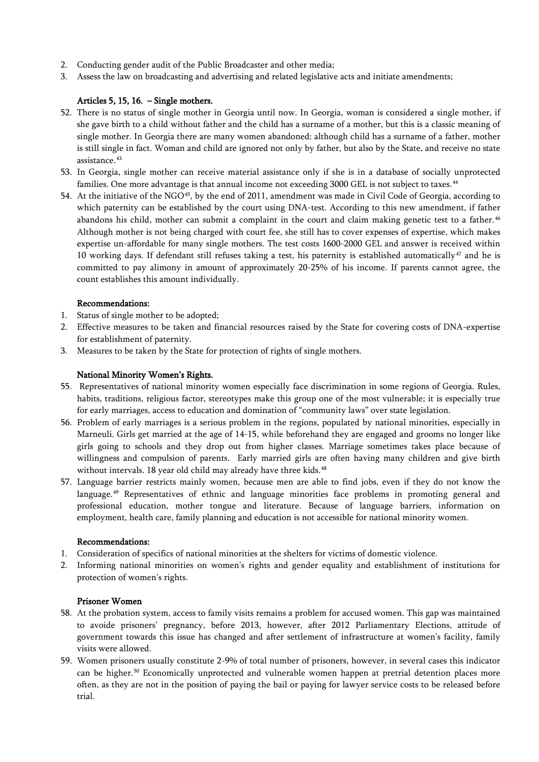- 2. Conducting gender audit of the Public Broadcaster and other media;
- 3. Assess the law on broadcasting and advertising and related legislative acts and initiate amendments;

## <span id="page-8-0"></span>Articles 5, 15, 16. – Single mothers.

- 52. There is no status of single mother in Georgia until now. In Georgia, woman is considered a single mother, if she gave birth to a child without father and the child has a surname of a mother, but this is a classic meaning of single mother. In Georgia there are many women abandoned: although child has a surname of a father, mother is still single in fact. Woman and child are ignored not only by father, but also by the State, and receive no state assistance.[43](#page-24-11)
- 53. In Georgia, single mother can receive material assistance only if she is in a database of socially unprotected families. One more advantage is that annual income not exceeding 3000 GEL is not subject to taxes.<sup>[44](#page-24-12)</sup>
- 54. At the initiative of the NGO<sup>[45](#page-24-13)</sup>, by the end of 2011, amendment was made in Civil Code of Georgia, according to which paternity can be established by the court using DNA-test. According to this new amendment, if father abandons his child, mother can submit a complaint in the court and claim making genetic test to a father.<sup>[46](#page-24-14)</sup> Although mother is not being charged with court fee, she still has to cover expenses of expertise, which makes expertise un-affordable for many single mothers. The test costs 1600-2000 GEL and answer is received within 10 working days. If defendant still refuses taking a test, his paternity is established automatically<sup>[47](#page-24-15)</sup> and he is committed to pay alimony in amount of approximately 20-25% of his income. If parents cannot agree, the count establishes this amount individually.

## Recommendations:

- 1. Status of single mother to be adopted;
- 2. Effective measures to be taken and financial resources raised by the State for covering costs of DNA-expertise for establishment of paternity.
- 3. Measures to be taken by the State for protection of rights of single mothers.

### <span id="page-8-1"></span>National Minority Women's Rights.

- 55. Representatives of national minority women especially face discrimination in some regions of Georgia. Rules, habits, traditions, religious factor, stereotypes make this group one of the most vulnerable; it is especially true for early marriages, access to education and domination of "community laws" over state legislation.
- 56. Problem of early marriages is a serious problem in the regions, populated by national minorities, especially in Marneuli. Girls get married at the age of 14-15, while beforehand they are engaged and grooms no longer like girls going to schools and they drop out from higher classes. Marriage sometimes takes place because of willingness and compulsion of parents. Early married girls are often having many children and give birth without intervals. 18 year old child may already have three kids.<sup>[48](#page-24-16)</sup>
- 57. Language barrier restricts mainly women, because men are able to find jobs, even if they do not know the language.[49](#page-24-17) Representatives of ethnic and language minorities face problems in promoting general and professional education, mother tongue and literature. Because of language barriers, information on employment, health care, family planning and education is not accessible for national minority women.

#### Recommendations:

- 1. Consideration of specifics of national minorities at the shelters for victims of domestic violence.
- 2. Informing national minorities on women's rights and gender equality and establishment of institutions for protection of women's rights.

#### <span id="page-8-2"></span>Prisoner Women

- 58. At the probation system, access to family visits remains a problem for accused women. This gap was maintained to avoide prisoners' pregnancy, before 2013, however, after 2012 Parliamentary Elections, attitude of government towards this issue has changed and after settlement of infrastructure at women's facility, family visits were allowed.
- 59. Women prisoners usually constitute 2-9% of total number of prisoners, however, in several cases this indicator can be higher.[50](#page-24-18) Economically unprotected and vulnerable women happen at pretrial detention places more often, as they are not in the position of paying the bail or paying for lawyer service costs to be released before trial.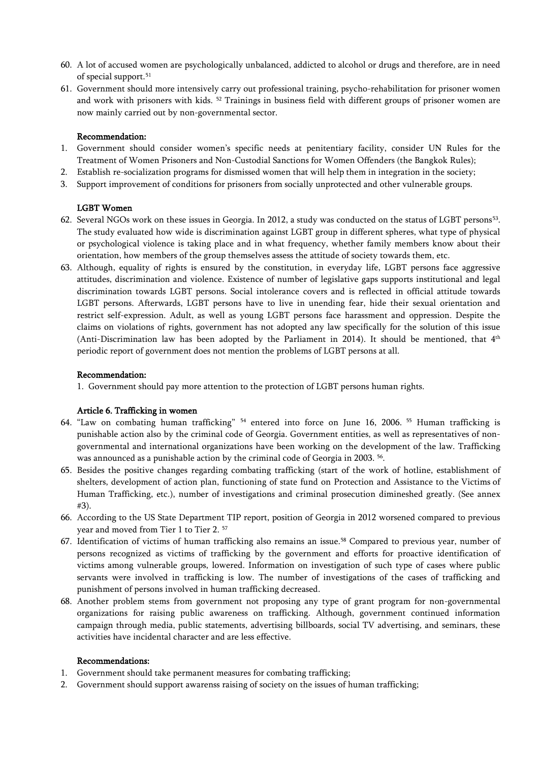- 60. A lot of accused women are psychologically unbalanced, addicted to alcohol or drugs and therefore, are in need of special support.<sup>[51](#page-24-19)</sup>
- 61. Government should more intensively carry out professional training, psycho-rehabilitation for prisoner women and work with prisoners with kids. <sup>[52](#page-24-20)</sup> Trainings in business field with different groups of prisoner women are now mainly carried out by non-governmental sector.

#### Recommendation:

- 1. Government should consider women's specific needs at penitentiary facility, consider [UN Rules for the](http://www.ohchr.org/Documents/ProfessionalInterest/BangkokRules.pdf)  [Treatment of Women Prisoners and Non-Custodial Sanctions for Women Offenders \(the Bangkok Rules\);](http://www.ohchr.org/Documents/ProfessionalInterest/BangkokRules.pdf)
- 2. Establish re-socialization programs for dismissed women that will help them in integration in the society;
- 3. Support improvement of conditions for prisoners from socially unprotected and other vulnerable groups.

### <span id="page-9-0"></span>LGBT Women

- 62. Several NGOs work on these issues in Georgia. In 2012, a study was conducted on the status of LGBT persons<sup>[53](#page-24-21)</sup>. The study evaluated how wide is discrimination against LGBT group in different spheres, what type of physical or psychological violence is taking place and in what frequency, whether family members know about their orientation, how members of the group themselves assess the attitude of society towards them, etc.
- 63. Although, equality of rights is ensured by the constitution, in everyday life, LGBT persons face aggressive attitudes, discrimination and violence. Existence of number of legislative gaps supports institutional and legal discrimination towards LGBT persons. Social intolerance covers and is reflected in official attitude towards LGBT persons. Afterwards, LGBT persons have to live in unending fear, hide their sexual orientation and restrict self-expression. Adult, as well as young LGBT persons face harassment and oppression. Despite the claims on violations of rights, government has not adopted any law specifically for the solution of this issue (Anti-Discrimination law has been adopted by the Parliament in 2014). It should be mentioned, that  $4<sup>th</sup>$ periodic report of government does not mention the problems of LGBT persons at all.

#### Recommendation:

<span id="page-9-1"></span>1. Government should pay more attention to the protection of LGBT persons human rights.

#### Article 6. Trafficking in women

- 64. "Law on combating human trafficking" [54](#page-24-22) entered into force on June 16, 2006. [55](#page-24-23) Human trafficking is punishable action also by the criminal code of Georgia. Government entities, as well as representatives of nongovernmental and international organizations have been working on the development of the law. Trafficking was announced as a punishable action by the criminal code of Georgia in 2003. <sup>[56](#page-24-24)</sup>.
- 65. Besides the positive changes regarding combating trafficking (start of the work of hotline, establishment of shelters, development of action plan, functioning of state fund on Protection and Assistance to the Victims of Human Trafficking, etc.), number of investigations and criminal prosecution dimineshed greatly. (See annex #3).
- 66. According to the US State Department TIP report, position of Georgia in 2012 worsened compared to previous year and moved from Tier 1 to Tier 2. [57](#page-24-25)
- 67. Identification of victims of human trafficking also remains an issue.<sup>[58](#page-24-26)</sup> Compared to previous year, number of persons recognized as victims of trafficking by the government and efforts for proactive identification of victims among vulnerable groups, lowered. Information on investigation of such type of cases where public servants were involved in trafficking is low. The number of investigations of the cases of trafficking and punishment of persons involved in human trafficking decreased.
- 68. Another problem stems from government not proposing any type of grant program for non-governmental organizations for raising public awareness on trafficking. Although, government continued information campaign through media, public statements, advertising billboards, social TV advertising, and seminars, these activities have incidental character and are less effective.

#### Recommendations:

- 1. Government should take permanent measures for combating trafficking;
- 2. Government should support awarenss raising of society on the issues of human trafficking;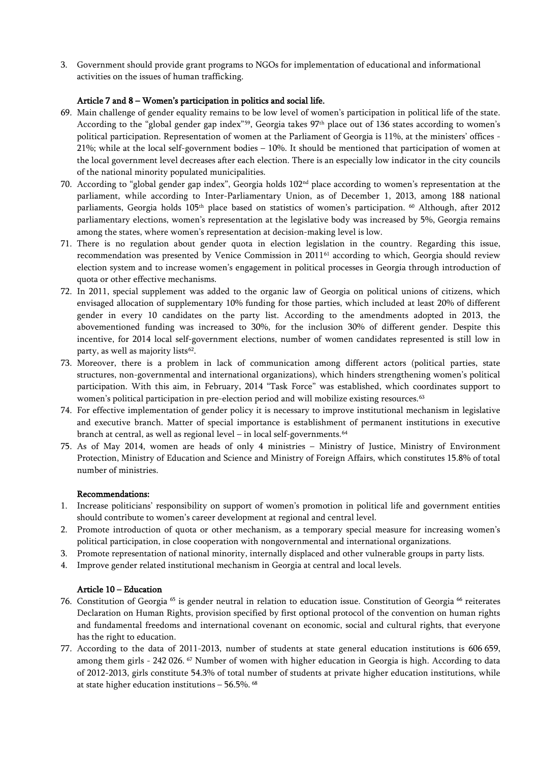3. Government should provide grant programs to NGOs for implementation of educational and informational activities on the issues of human trafficking.

## <span id="page-10-0"></span>Article 7 and 8 – Women's participation in politics and social life.

- 69. Main challenge of gender equality remains to be low level of women's participation in political life of the state. According to the "global gender gap index"[59](#page-24-27) , Georgia takes 97th place out of 136 states according to women's political participation. Representation of women at the Parliament of Georgia is 11%, at the ministers' offices - 21%; while at the local self-government bodies – 10%. It should be mentioned that participation of women at the local government level decreases after each election. There is an especially low indicator in the city councils of the national minority populated municipalities.
- 70. According to "global gender gap index", Georgia holds 102nd place according to women's representation at the parliament, while according to Inter-Parliamentary Union, as of December 1, 2013, among 188 national parliaments, Georgia holds 105<sup>th</sup> place based on statistics of women's participation. <sup>[60](#page-24-28)</sup> Although, after 2012 parliamentary elections, women's representation at the legislative body was increased by 5%, Georgia remains among the states, where women's representation at decision-making level is low.
- 71. There is no regulation about gender quota in election legislation in the country. Regarding this issue, recommendation was presented by Venice Commission in 2011 [61](#page-24-29) according to which, Georgia should review election system and to increase women's engagement in political processes in Georgia through introduction of quota or other effective mechanisms.
- 72. In 2011, special supplement was added to the organic law of Georgia on political unions of citizens, which envisaged allocation of supplementary 10% funding for those parties, which included at least 20% of different gender in every 10 candidates on the party list. According to the amendments adopted in 2013, the abovementioned funding was increased to 30%, for the inclusion 30% of different gender. Despite this incentive, for 2014 local self-government elections, number of women candidates represented is still low in party, as well as majority lists [62](#page-24-30) .
- 73. Moreover, there is a problem in lack of communication among different actors (political parties, state structures, non-governmental and international organizations), which hinders strengthening women's political participation. With this aim, in February, 2014 "Task Force" was established, which coordinates support to women's political participation in pre-election period and will mobilize existing resources.<sup>[63](#page-24-31)</sup>
- 74. For effective implementation of gender policy it is necessary to improve institutional mechanism in legislative and executive branch. Matter of special importance is establishment of permanent institutions in executive branch at central, as well as regional level – in local self-governments. $64$
- 75. As of May 2014, women are heads of only 4 ministries Ministry of Justice, Ministry of Environment Protection, Ministry of Education and Science and Ministry of Foreign Affairs, which constitutes 15.8% of total number of ministries.

## Recommendations:

- 1. Increase politicians' responsibility on support of women's promotion in political life and government entities should contribute to women's career development at regional and central level.
- 2. Promote introduction of quota or other mechanism, as a temporary special measure for increasing women's political participation, in close cooperation with nongovernmental and international organizations.
- 3. Promote representation of national minority, internally displaced and other vulnerable groups in party lists.
- 4. Improve gender related institutional mechanism in Georgia at central and local levels.

## <span id="page-10-1"></span>Article 10 – Education

- 76. Constitution of Georgia <sup>[65](#page-24-33)</sup> is gender neutral in relation to education issue. Constitution of Georgia <sup>[66](#page-24-34)</sup> reiterates Declaration on Human Rights, provision specified by first optional protocol of the convention on human rights and fundamental freedoms and international covenant on economic, social and cultural rights, that everyone has the right to education.
- 77. According to the data of 2011-2013, number of students at state general education institutions is 606 659, among them girls - 242 026. <sup>[67](#page-24-35)</sup> Number of women with higher education in Georgia is high. According to data of 2012-2013, girls constitute 54.3% of total number of students at private higher education institutions, while at state higher education institutions – 56.5%. [68](#page-24-36)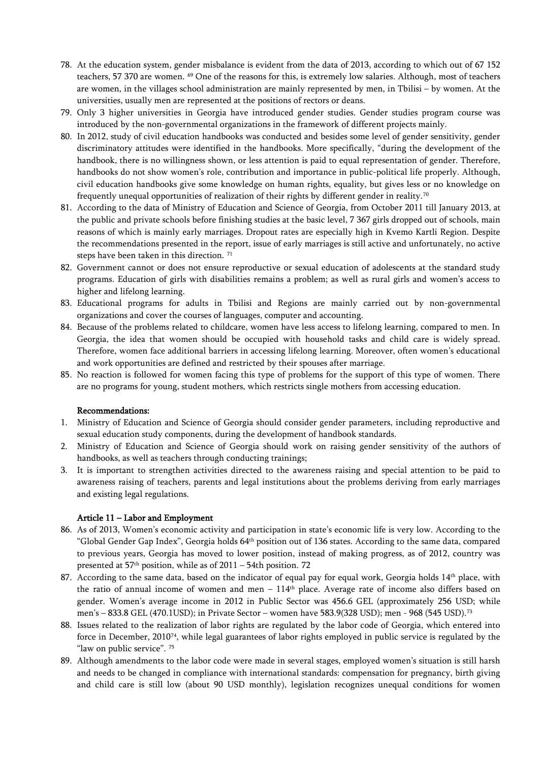- 78. At the education system, gender misbalance is evident from the data of 2013, according to which out of 67 152 teachers, 57 370 are women. <sup>[69](#page-24-37)</sup> One of the reasons for this, is extremely low salaries. Although, most of teachers are women, in the villages school administration are mainly represented by men, in Tbilisi – by women. At the universities, usually men are represented at the positions of rectors or deans.
- 79. Only 3 higher universities in Georgia have introduced gender studies. Gender studies program course was introduced by the non-governmental organizations in the framework of different projects mainly.
- 80. In 2012, study of civil education handbooks was conducted and besides some level of gender sensitivity, gender discriminatory attitudes were identified in the handbooks. More specifically, "during the development of the handbook, there is no willingness shown, or less attention is paid to equal representation of gender. Therefore, handbooks do not show women's role, contribution and importance in public-political life properly. Although, civil education handbooks give some knowledge on human rights, equality, but gives less or no knowledge on frequently unequal opportunities of realization of their rights by different gender in reality.[70](#page-25-0)
- 81. According to the data of Ministry of Education and Science of Georgia, from October 2011 till January 2013, at the public and private schools before finishing studies at the basic level, 7 367 girls dropped out of schools, main reasons of which is mainly early marriages. Dropout rates are especially high in Kvemo Kartli Region. Despite the recommendations presented in the report, issue of early marriages is still active and unfortunately, no active steps have been taken in this direction.<sup>[71](#page-25-1)</sup>
- 82. Government cannot or does not ensure reproductive or sexual education of adolescents at the standard study programs. Education of girls with disabilities remains a problem; as well as rural girls and women's access to higher and lifelong learning.
- 83. Educational programs for adults in Tbilisi and Regions are mainly carried out by non-governmental organizations and cover the courses of languages, computer and accounting.
- 84. Because of the problems related to childcare, women have less access to lifelong learning, compared to men. In Georgia, the idea that women should be occupied with household tasks and child care is widely spread. Therefore, women face additional barriers in accessing lifelong learning. Moreover, often women's educational and work opportunities are defined and restricted by their spouses after marriage.
- 85. No reaction is followed for women facing this type of problems for the support of this type of women. There are no programs for young, student mothers, which restricts single mothers from accessing education.

#### Recommendations:

- 1. Ministry of Education and Science of Georgia should consider gender parameters, including reproductive and sexual education study components, during the development of handbook standards.
- 2. Ministry of Education and Science of Georgia should work on raising gender sensitivity of the authors of handbooks, as well as teachers through conducting trainings;
- 3. It is important to strengthen activities directed to the awareness raising and special attention to be paid to awareness raising of teachers, parents and legal institutions about the problems deriving from early marriages and existing legal regulations.

#### <span id="page-11-0"></span>Article 11 – Labor and Employment

- 86. As of 2013, Women's economic activity and participation in state's economic life is very low. According to the "Global Gender Gap Index", Georgia holds 64th position out of 136 states. According to the same data, compared to previous years, Georgia has moved to lower position, instead of making progress, as of 2012, country was presented at  $57<sup>th</sup>$  position, while as of  $2011 - 54$ th position. [72](#page-25-2)
- 87. According to the same data, based on the indicator of equal pay for equal work, Georgia holds 14<sup>th</sup> place, with the ratio of annual income of women and men  $-114<sup>th</sup>$  place. Average rate of income also differs based on gender. Women's average income in 2012 in Public Sector was 456.6 GEL (approximately 256 USD; while men's – 833.8 GEL (470.1USD); in Private Sector – women have 583.9(328 USD); men - 968 (545 USD).[73](#page-25-3)
- 88. Issues related to the realization of labor rights are regulated by the labor code of Georgia, which entered into force in December, 2010[74](#page-25-4), while legal guarantees of labor rights employed in public service is regulated by the "law on public service". <sup>[75](#page-25-5)</sup>
- 89. Although amendments to the labor code were made in several stages, employed women's situation is still harsh and needs to be changed in compliance with international standards: compensation for pregnancy, birth giving and child care is still low (about 90 USD monthly), legislation recognizes unequal conditions for women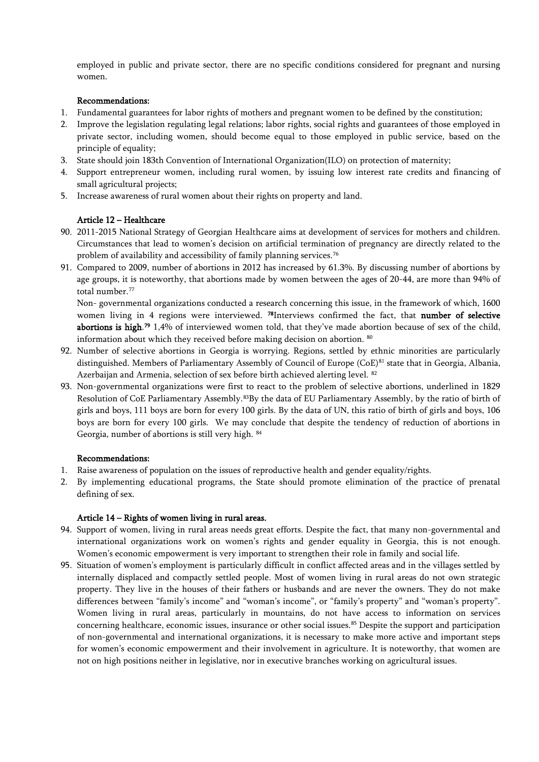employed in public and private sector, there are no specific conditions considered for pregnant and nursing women.

## Recommendations:

- 1. Fundamental guarantees for labor rights of mothers and pregnant women to be defined by the constitution;
- 2. Improve the legislation regulating legal relations; labor rights, social rights and guarantees of those employed in private sector, including women, should become equal to those employed in public service, based on the principle of equality;
- 3. State should join 183th Convention of International Organization(ILO) on protection of maternity;
- 4. Support entrepreneur women, including rural women, by issuing low interest rate credits and financing of small agricultural projects;
- 5. Increase awareness of rural women about their rights on property and land.

## <span id="page-12-0"></span>Article 12 – Healthcare

- 90. 2011-2015 National Strategy of Georgian Healthcare aims at development of services for mothers and children. Circumstances that lead to women's decision on artificial termination of pregnancy are directly related to the problem of availability and accessibility of family planning services.<sup>[76](#page-25-6)</sup>
- 91. Compared to 2009, number of abortions in 2012 has increased by 61.3%. By discussing number of abortions by age groups, it is noteworthy, that abortions made by women between the ages of 20-44, are more than 94% of total number.<sup>[77](#page-25-7)</sup>

Non- governmental organizations conducted a research concerning this issue, in the framework of which, 1600 women living in 4 regions were interviewed. <sup>[78](#page-25-8)</sup>Interviews confirmed the fact, that number of selective abortions is high.<sup>[79](#page-25-9)</sup> 1,4% of interviewed women told, that they've made abortion because of sex of the child, information about which they received before making decision on abortion. [80](#page-25-10)

- 92. Number of selective abortions in Georgia is worrying. Regions, settled by ethnic minorities are particularly distinguished. Members of Parliamentary Assembly of Council of Europe (CoE)<sup>[81](#page-25-11)</sup> state that in Georgia, Albania, Azerbaijan and Armenia, selection of sex before birth achieved alerting level. [82](#page-25-12)
- 93. Non-governmental organizations were first to react to the problem of selective abortions, underlined in 1829 Resolution of CoE Parliamentary Assembly.<sup>83</sup>By the data of EU Parliamentary Assembly, by the ratio of birth of girls and boys, 111 boys are born for every 100 girls. By the data of UN, this ratio of birth of girls and boys, 106 boys are born for every 100 girls. We may conclude that despite the tendency of reduction of abortions in Georgia, number of abortions is still very high. [84](#page-25-14)

## Recommendations:

- 1. Raise awareness of population on the issues of reproductive health and gender equality/rights.
- 2. By implementing educational programs, the State should promote elimination of the practice of prenatal defining of sex.

#### <span id="page-12-1"></span>Article 14 – Rights of women living in rural areas.

- 94. Support of women, living in rural areas needs great efforts. Despite the fact, that many non-governmental and international organizations work on women's rights and gender equality in Georgia, this is not enough. Women's economic empowerment is very important to strengthen their role in family and social life.
- 95. Situation of women's employment is particularly difficult in conflict affected areas and in the villages settled by internally displaced and compactly settled people. Most of women living in rural areas do not own strategic property. They live in the houses of their fathers or husbands and are never the owners. They do not make differences between "family's income" and "woman's income", or "family's property" and "woman's property". Women living in rural areas, particularly in mountains, do not have access to information on services concerning healthcare, economic issues, insurance or other social issues.<sup>[85](#page-25-15)</sup> Despite the support and participation of non-governmental and international organizations, it is necessary to make more active and important steps for women's economic empowerment and their involvement in agriculture. It is noteworthy, that women are not on high positions neither in legislative, nor in executive branches working on agricultural issues.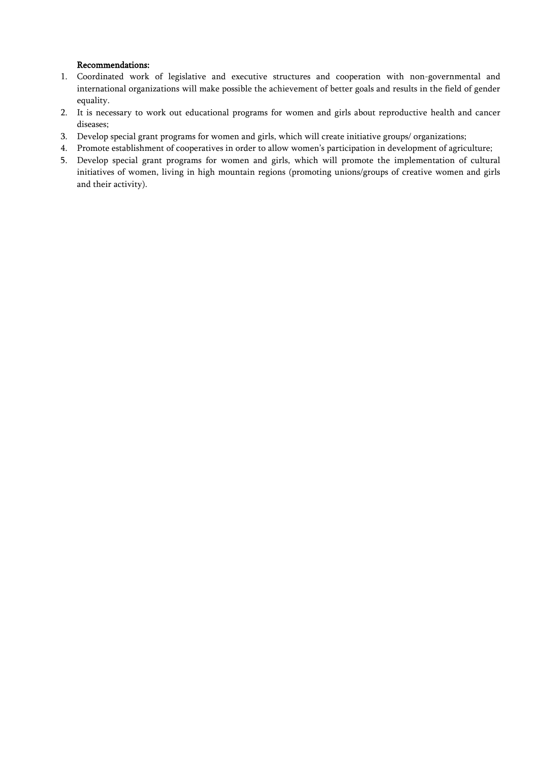## Recommendations:

- 1. Coordinated work of legislative and executive structures and cooperation with non-governmental and international organizations will make possible the achievement of better goals and results in the field of gender equality.
- 2. It is necessary to work out educational programs for women and girls about reproductive health and cancer diseases;
- 3. Develop special grant programs for women and girls, which will create initiative groups/ organizations;
- 4. Promote establishment of cooperatives in order to allow women's participation in development of agriculture;
- 5. Develop special grant programs for women and girls, which will promote the implementation of cultural initiatives of women, living in high mountain regions (promoting unions/groups of creative women and girls and their activity).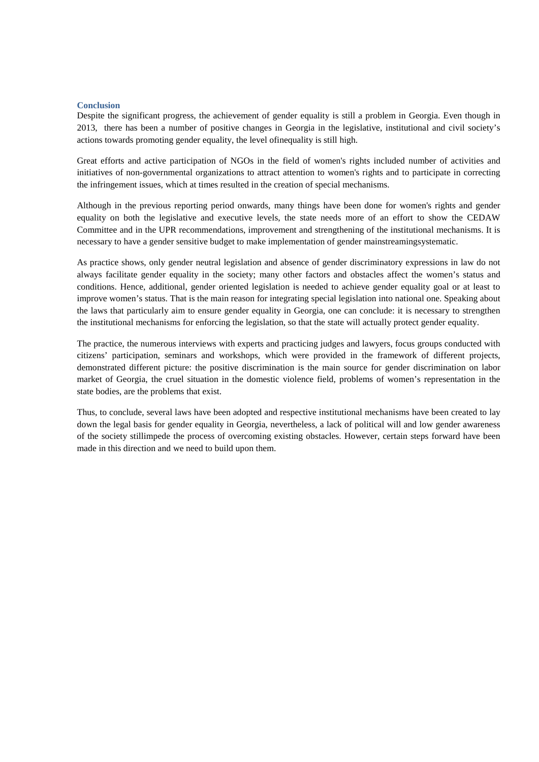#### **Conclusion**

Despite the significant progress, the achievement of gender equality is still a problem in Georgia. Even though in 2013, there has been a number of positive changes in Georgia in the legislative, institutional and civil society's actions towards promoting gender equality, the level ofinequality is still high.

Great efforts and active participation of NGOs in the field of women's rights included number of activities and initiatives of non-governmental organizations to attract attention to women's rights and to participate in correcting the infringement issues, which at times resulted in the creation of special mechanisms.

Although in the previous reporting period onwards, many things have been done for women's rights and gender equality on both the legislative and executive levels, the state needs more of an effort to show the CEDAW Committee and in the UPR recommendations, improvement and strengthening of the institutional mechanisms. It is necessary to have a gender sensitive budget to make implementation of gender mainstreamingsystematic.

As practice shows, only gender neutral legislation and absence of gender discriminatory expressions in law do not always facilitate gender equality in the society; many other factors and obstacles affect the women's status and conditions. Hence, additional, gender oriented legislation is needed to achieve gender equality goal or at least to improve women's status. That is the main reason for integrating special legislation into national one. Speaking about the laws that particularly aim to ensure gender equality in Georgia, one can conclude: it is necessary to strengthen the institutional mechanisms for enforcing the legislation, so that the state will actually protect gender equality.

The practice, the numerous interviews with experts and practicing judges and lawyers, focus groups conducted with citizens' participation, seminars and workshops, which were provided in the framework of different projects, demonstrated different picture: the positive discrimination is the main source for gender discrimination on labor market of Georgia, the cruel situation in the domestic violence field, problems of women's representation in the state bodies, are the problems that exist.

Thus, to conclude, several laws have been adopted and respective institutional mechanisms have been created to lay down the legal basis for gender equality in Georgia, nevertheless, a lack of political will and low gender awareness of the society stillimpede the process of overcoming existing obstacles. However, certain steps forward have been made in this direction and we need to build upon them.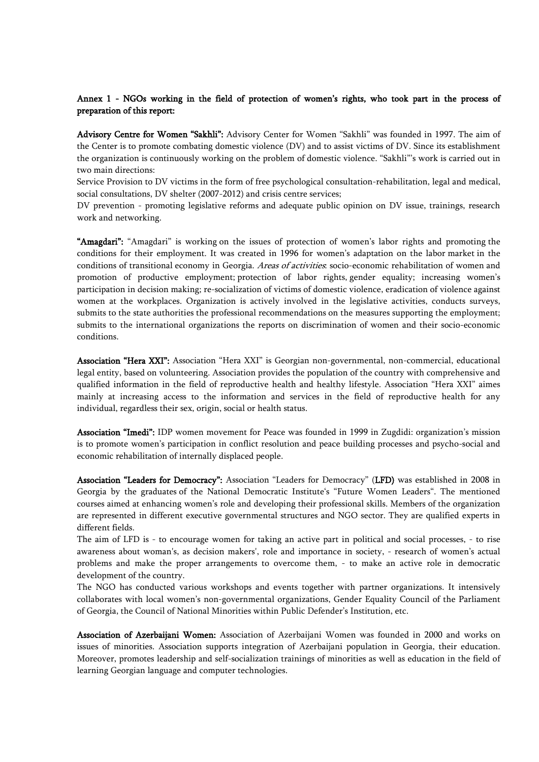## <span id="page-15-0"></span>Annex 1 - NGOs working in the field of protection of women's rights, who took part in the process of preparation of this report:

Advisory Centre for Women "Sakhli": Advisory Center for Women "Sakhli" was founded in 1997. The aim of the Center is to promote combating domestic violence (DV) and to assist victims of DV. Since its establishment the organization is continuously working on the problem of domestic violence. "Sakhli"'s work is carried out in two main directions:

Service Provision to DV victims in the form of free psychological consultation-rehabilitation, legal and medical, social consultations, DV shelter (2007-2012) and crisis centre services;

DV prevention - promoting legislative reforms and adequate public opinion on DV issue, trainings, research work and networking.

"Amagdari": "Amagdari" is working on the issues of protection of women's labor rights and promoting the conditions for their employment. It was created in 1996 for women's adaptation on the labor market in the conditions of transitional economy in Georgia. Areas of activities: socio-economic rehabilitation of women and promotion of productive employment; protection of labor rights, gender equality; increasing women's participation in decision making; re-socialization of victims of domestic violence, eradication of violence against women at the workplaces. Organization is actively involved in the legislative activities, conducts surveys, submits to the state authorities the professional recommendations on the measures supporting the employment; submits to the international organizations the reports on discrimination of women and their socio-economic conditions.

Association "Hera XXI": Association "Hera XXI" is Georgian non-governmental, non-commercial, educational legal entity, based on volunteering. Association provides the population of the country with comprehensive and qualified information in the field of reproductive health and healthy lifestyle. Association "Hera XXI" aimes mainly at increasing access to the information and services in the field of reproductive health for any individual, regardless their sex, origin, social or health status.

Association "Imedi": IDP women movement for Peace was founded in 1999 in Zugdidi: organization's mission is to promote women's participation in conflict resolution and peace building processes and psycho-social and economic rehabilitation of internally displaced people.

Association "Leaders for Democracy": Association "Leaders for Democracy" (LFD) was established in 2008 in Georgia by the graduates of the National Democratic Institute's "Future Women Leaders". The mentioned courses aimed at enhancing women's role and developing their professional skills. Members of the organization are represented in different executive governmental structures and NGO sector. They are qualified experts in different fields.

The aim of LFD is - to encourage women for taking an active part in political and social processes, - to rise awareness about woman's, as decision makers', role and importance in society, - research of women's actual problems and make the proper arrangements to overcome them, - to make an active role in democratic development of the country.

The NGO has conducted various workshops and events together with partner organizations. It intensively collaborates with local women's non-governmental organizations, Gender Equality Council of the Parliament of Georgia, the Council of National Minorities within Public Defender's Institution, etc.

Association of Azerbaijani Women: Association of Azerbaijani Women was founded in 2000 and works on issues of minorities. Association supports integration of Azerbaijani population in Georgia, their education. Moreover, promotes leadership and self-socialization trainings of minorities as well as education in the field of learning Georgian language and computer technologies.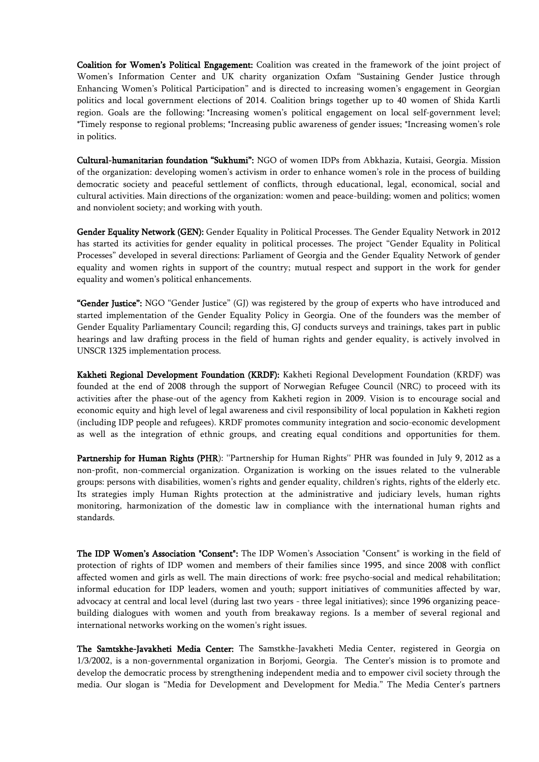Coalition for Women's Political Engagement: Coalition was created in the framework of the joint project of Women's Information Center and UK charity organization Oxfam "Sustaining Gender Justice through Enhancing Women's Political Participation" and is directed to increasing women's engagement in Georgian politics and local government elections of 2014. Coalition brings together up to 40 women of Shida Kartli region. Goals are the following: \*Increasing women's political engagement on local self-government level; \*Timely response to regional problems; \*Increasing public awareness of gender issues; \*Increasing women's role in politics.

Cultural-humanitarian foundation "Sukhumi": NGO of women IDPs from Abkhazia, Kutaisi, Georgia. Mission of the organization: developing women's activism in order to enhance women's role in the process of building democratic society and peaceful settlement of conflicts, through educational, legal, economical, social and cultural activities. Main directions of the organization: women and peace-building; women and politics; women and nonviolent society; and working with youth.

Gender Equality Network (GEN): Gender Equality in Political Processes. The Gender Equality Network in 2012 has started its activities for gender equality in political processes. The project "Gender Equality in Political Processes" developed in several directions: Parliament of Georgia and the Gender Equality Network of gender equality and women rights in support of the country; mutual respect and support in the work for gender equality and women's political enhancements.

"Gender Justice": NGO "Gender Justice" (GJ) was registered by the group of experts who have introduced and started implementation of the Gender Equality Policy in Georgia. One of the founders was the member of Gender Equality Parliamentary Council; regarding this, GJ conducts surveys and trainings, takes part in public hearings and law drafting process in the field of human rights and gender equality, is actively involved in UNSCR 1325 implementation process.

Kakheti Regional Development Foundation (KRDF): Kakheti Regional Development Foundation (KRDF) was founded at the end of 2008 through the support of Norwegian Refugee Council (NRC) to proceed with its activities after the phase-out of the agency from Kakheti region in 2009. Vision is to encourage social and economic equity and high level of legal awareness and civil responsibility of local population in Kakheti region (including IDP people and refugees). KRDF promotes community integration and socio-economic development as well as the integration of ethnic groups, and creating equal conditions and opportunities for them.

Partnership for Human Rights (PHR): "Partnership for Human Rights" PHR was founded in July 9, 2012 as a non-profit, non-commercial organization. Organization is working on the issues related to the vulnerable groups: persons with disabilities, women's rights and gender equality, children's rights, rights of the elderly etc. Its strategies imply Human Rights protection at the administrative and judiciary levels, human rights monitoring, harmonization of the domestic law in compliance with the international human rights and standards.

The IDP Women's Association "Consent": The IDP Women's Association "Consent" is working in the field of protection of rights of IDP women and members of their families since 1995, and since 2008 with conflict affected women and girls as well. The main directions of work: free psycho-social and medical rehabilitation; informal education for IDP leaders, women and youth; support initiatives of communities affected by war, advocacy at central and local level (during last two years - three legal initiatives); since 1996 organizing peacebuilding dialogues with women and youth from breakaway regions. Is a member of several regional and international networks working on the women's right issues.

The Samtskhe-Javakheti Media Center: The Samstkhe-Javakheti Media Center, registered in Georgia on 1/3/2002, is a non-governmental organization in Borjomi, Georgia. The Center's mission is to promote and develop the democratic process by strengthening independent media and to empower civil society through the media. Our slogan is "Media for Development and Development for Media." The Media Center's partners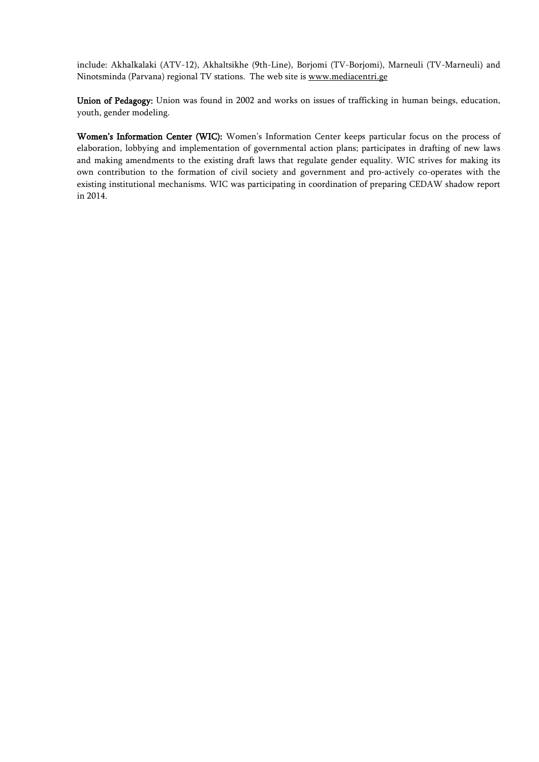include: Akhalkalaki (ATV-12), Akhaltsikhe (9th-Line), Borjomi (TV-Borjomi), Marneuli (TV-Marneuli) and Ninotsminda (Parvana) regional TV stations. The web site i[s www.mediacentri.ge](http://www.mediacentre.ge/) 

Union of Pedagogy: Union was found in 2002 and works on issues of trafficking in human beings, education, youth, gender modeling.

Women's Information Center (WIC): Women's Information Center keeps particular focus on the process of elaboration, lobbying and implementation of governmental action plans; participates in drafting of new laws and making amendments to the existing draft laws that regulate gender equality. WIC strives for making its own contribution to the formation of civil society and government and pro-actively co-operates with the existing institutional mechanisms. WIC was participating in coordination of preparing CEDAW shadow report in 2014.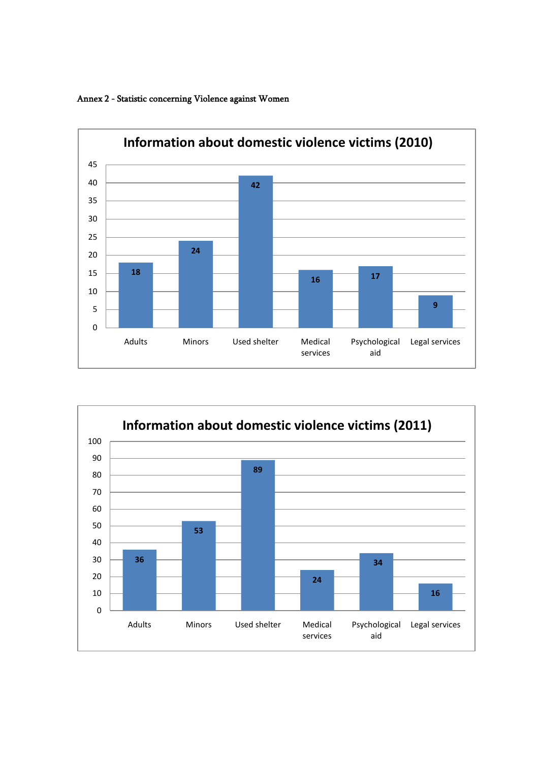

<span id="page-18-0"></span>Annex 2 - Statistic concerning Violence against Women

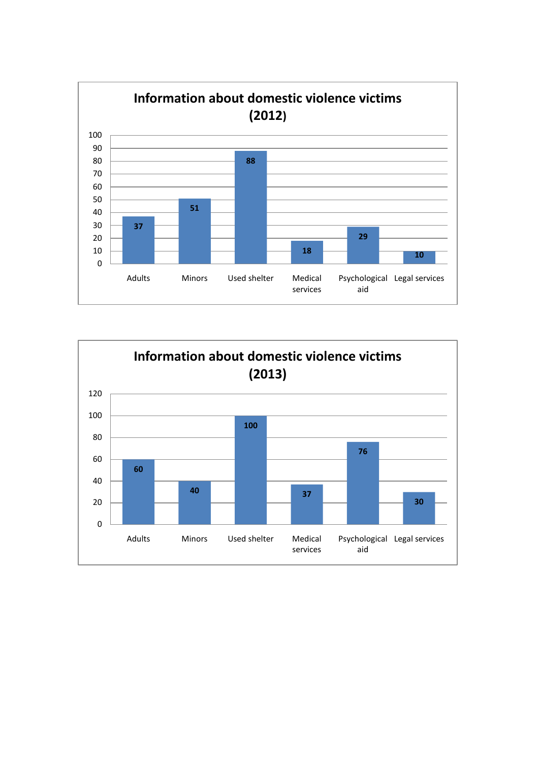

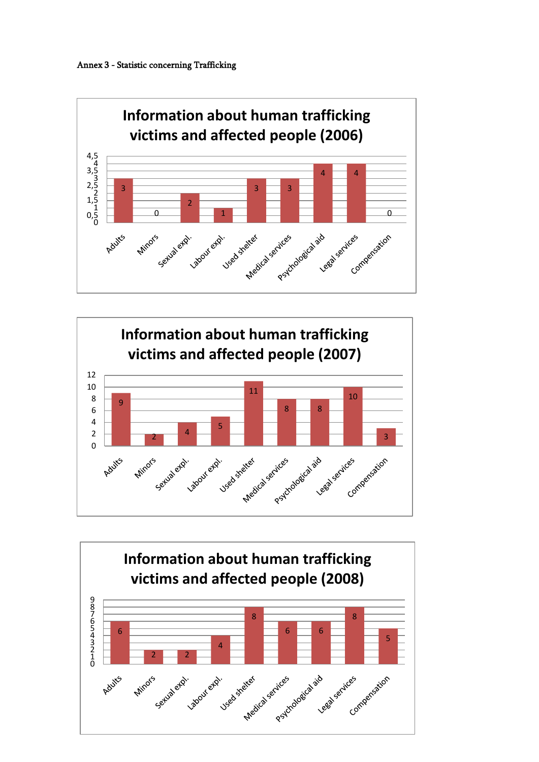<span id="page-20-0"></span>



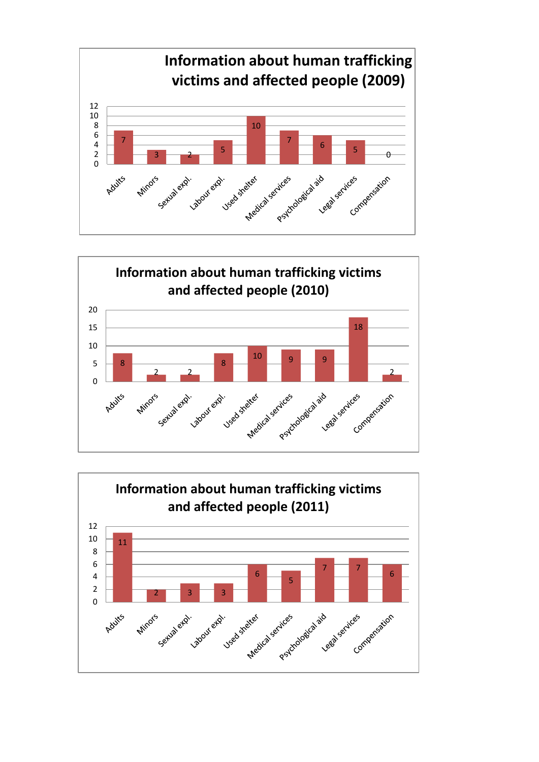



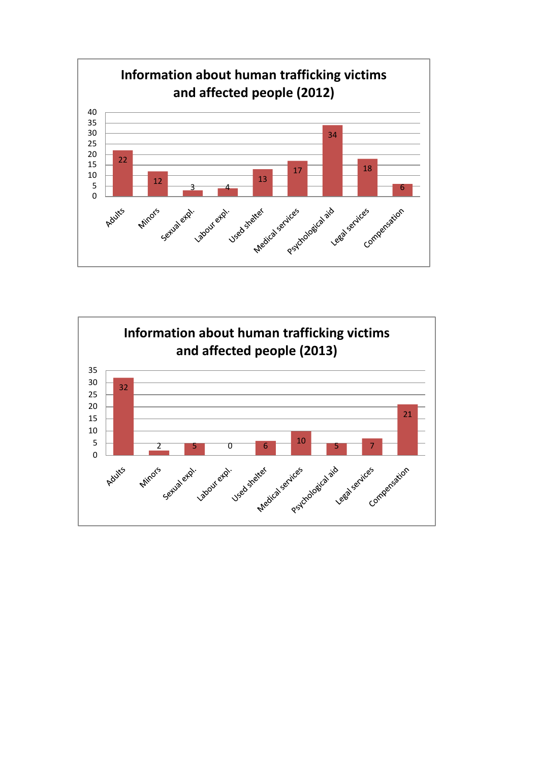

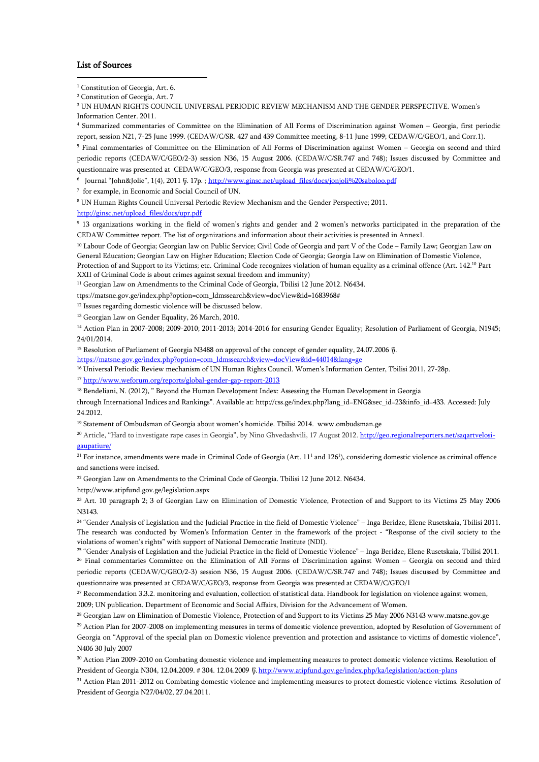#### <span id="page-23-3"></span>List of Sources

.<br>-

<span id="page-23-0"></span><sup>1</sup> Constitution of Georgia, Art. 6.

<span id="page-23-2"></span><sup>3</sup> UN HUMAN RIGHTS COUNCIL UNIVERSAL PERIODIC REVIEW MECHANISM AND THE GENDER PERSPECTIVE. Women's Information Center. 2011.

<span id="page-23-4"></span><sup>4</sup> Summarized commentaries of Committee on the Elimination of All Forms of Discrimination against Women – Georgia, first periodic report, session N21, 7-25 June 1999. (CEDAW/C/SR. 427 and 439 Committee meeting, 8-11 June 1999; CEDAW/C/GEO/1, and Corr.1).

<span id="page-23-5"></span><sup>5</sup> Final commentaries of Committee on the Elimination of All Forms of Discrimination against Women – Georgia on second and third periodic reports (CEDAW/C/GEO/2-3) session N36, 15 August 2006. (CEDAW/C/SR.747 and 748); Issues discussed by Committee and questionnaire was presented at CEDAW/C/GEO/3, response from Georgia was presented at CEDAW/C/GEO/1.

<span id="page-23-6"></span>6 Journal "John&Jolie", 1(4), 2011 წ. 17p. [; http://www.ginsc.net/upload\\_files/docs/jonjoli%20saboloo.pdf](http://www.ginsc.net/upload_files/docs/jonjoli%20saboloo.pdf)

7 for example, in Economic and Social Council of UN.

<span id="page-23-8"></span><span id="page-23-7"></span><sup>8</sup> UN Human Rights Council Universal Periodic Review Mechanism and the Gender Perspective; 2011.

[http://ginsc.net/upload\\_files/docs/upr.pdf](http://ginsc.net/upload_files/docs/upr.pdf)

<span id="page-23-9"></span><sup>9</sup> 13 organizations working in the field of women's rights and gender and 2 women's networks participated in the preparation of the CEDAW Committee report. The list of organizations and information about their activities is presented in Annex1.

<span id="page-23-10"></span><sup>10</sup> Labour Code of Georgia; Georgian law on Public Service; Civil Code of Georgia and part V of the Code – Family Law; Georgian Law on General Education; Georgian Law on Higher Education; Election Code of Georgia; Georgia Law on Elimination of Domestic Violence, Protection of and Support to its Victims; etc. Criminal Code recognizes violation of human equality as a criminal offence (Art. 142.<sup>10</sup> Part XXII of Criminal Code is about crimes against sexual freedom and immunity)

<span id="page-23-11"></span><sup>11</sup> Georgian Law on Amendments to the Criminal Code of Georgia, Tbilisi 12 June 2012. N6434.

ttps://matsne.gov.ge/index.php?option=com\_ldmssearch&view=docView&id=1683968#

<span id="page-23-12"></span><sup>12</sup> Issues regarding domestic violence will be discussed below.

<span id="page-23-13"></span><sup>13</sup> Georgian Law on Gender Equality, 26 March, 2010.

<span id="page-23-14"></span><sup>14</sup> Action Plan in 2007-2008; 2009-2010; 2011-2013; 2014-2016 for ensuring Gender Equality; Resolution of Parliament of Georgia, N1945; 24/01/2014.

<span id="page-23-15"></span><sup>15</sup> Resolution of Parliament of Georgia N3488 on approval of the concept of gender equality, 24.07.2006 წ.

[https://matsne.gov.ge/index.php?option=com\\_ldmssearch&view=docView&id=44014&lang=ge](https://matsne.gov.ge/index.php?option=com_ldmssearch&view=docView&id=44014&lang=ge)

<span id="page-23-16"></span><sup>16</sup> Universal Periodic Review mechanism of UN Human Rights Council. Women's Information Center, Tbilisi 2011, 27-28p.

<span id="page-23-17"></span><sup>17</sup> <http://www.weforum.org/reports/global-gender-gap-report-2013>

<span id="page-23-18"></span><sup>18</sup> Bendeliani, N. (2012), " Beyond the Human Development Index: Assessing the Human Development in Georgia

through International Indices and Rankings". Available at: http://css.ge/index.php?lang\_id=ENG&sec\_id=23&info\_id=433. Accessed: July 24.2012.

<span id="page-23-19"></span><sup>19</sup> Statement of Ombudsman of Georgia about women's homicide. Tbilisi 2014. www.ombudsman.ge

<span id="page-23-20"></span><sup>20</sup> Article, "Hard to investigate rape cases in Georgia", by Nino Ghvedashvili, 17 August 2012[. http://geo.regionalreporters.net/saqartvelosi](http://geo.regionalreporters.net/saqartvelosi-gaupatiure/)[gaupatiure/](http://geo.regionalreporters.net/saqartvelosi-gaupatiure/)

<span id="page-23-21"></span><sup>21</sup> For instance, amendments were made in Criminal Code of Georgia (Art.  $11^1$  and  $126^1$ ), considering domestic violence as criminal offence and sanctions were incised.

<span id="page-23-22"></span><sup>22</sup> Georgian Law on Amendments to the Criminal Code of Georgia. Tbilisi 12 June 2012. N6434.

http://www.atipfund.gov.ge/legislation.aspx

<span id="page-23-23"></span><sup>23</sup> Art. 10 paragraph 2; 3 of Georgian Law on Elimination of Domestic Violence, Protection of and Support to its Victims 25 May 2006 N3143.

<span id="page-23-24"></span><sup>24</sup> "Gender Analysis of Legislation and the Judicial Practice in the field of Domestic Violence" – Inga Beridze, Elene Rusetskaia, Tbilisi 2011. The research was conducted by Women's Information Center in the framework of the project - "Response of the civil society to the violations of women's rights" with support of National Democratic Institute (NDI).

<span id="page-23-26"></span><span id="page-23-25"></span><sup>25</sup> "Gender Analysis of Legislation and the Judicial Practice in the field of Domestic Violence" – Inga Beridze, Elene Rusetskaia, Tbilisi 2011. <sup>26</sup> Final commentaries Committee on the Elimination of All Forms of Discrimination against Women – Georgia on second and third periodic reports (CEDAW/C/GEO/2-3) session N36, 15 August 2006. (CEDAW/C/SR.747 and 748); Issues discussed by Committee and questionnaire was presented at CEDAW/C/GEO/3, response from Georgia was presented at CEDAW/C/GEO/1

<span id="page-23-27"></span><sup>27</sup> Recommendation 3.3.2. monitoring and evaluation, collection of statistical data. Handbook for legislation on violence against women,

2009; UN publication. Department of Economic and Social Affairs, Division for the Advancement of Women.

<span id="page-23-28"></span><sup>28</sup> Georgian Law on Elimination of Domestic Violence, Protection of and Support to its Victims 25 May 2006 N3143 www.matsne.gov.ge

<span id="page-23-29"></span><sup>29</sup> Action Plan for 2007-2008 on implementing measures in terms of domestic violence prevention, adopted by Resolution of Government of Georgia on "Approval of the special plan on Domestic violence prevention and protection and assistance to victims of domestic violence", N406 30 July 2007

<span id="page-23-30"></span><sup>30</sup> Action Plan 2009-2010 on Combating domestic violence and implementing measures to protect domestic violence victims. Resolution of President of Georgia N304, 12.04.2009. # 304. 12.04.2009 წ. <http://www.atipfund.gov.ge/index.php/ka/legislation/action-plans>

<span id="page-23-31"></span><sup>31</sup> Action Plan 2011-2012 on Combating domestic violence and implementing measures to protect domestic violence victims. Resolution of President of Georgia N27/04/02, 27.04.2011.

<span id="page-23-1"></span><sup>2</sup> Constitution of Georgia, Art. 7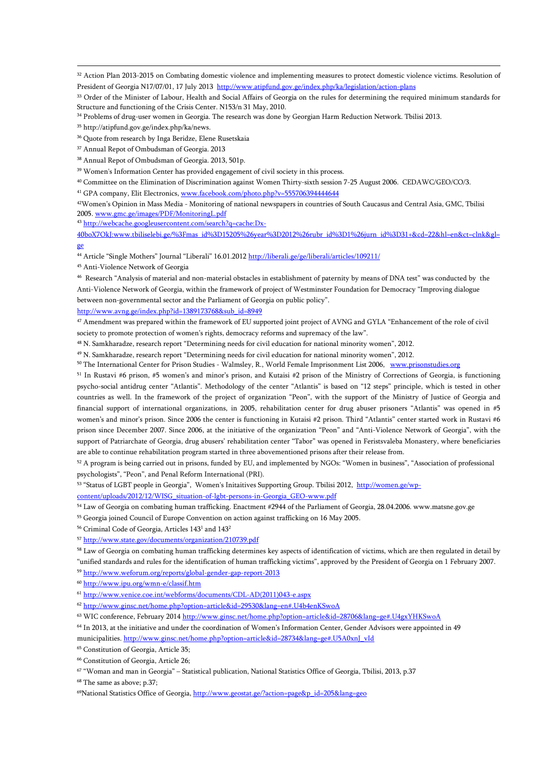<span id="page-24-0"></span><sup>32</sup> Action Plan 2013-2015 on Combating domestic violence and implementing measures to protect domestic violence victims. Resolution of President of Georgia N17/07/01, 17 July 2013<http://www.atipfund.gov.ge/index.php/ka/legislation/action-plans>

<span id="page-24-1"></span><sup>33</sup> Order of the Minister of Labour. Health and Social Affairs of Georgia on the rules for determining the required minimum standards for Structure and functioning of the Crisis Center. N153/n 31 May, 2010.

<span id="page-24-2"></span><sup>34</sup> Problems of drug-user women in Georgia. The research was done by Georgian Harm Reduction Network. Tbilisi 2013.

<span id="page-24-3"></span><sup>35</sup> http://atipfund.gov.ge/index.php/ka/news.

<u>.</u>

<span id="page-24-4"></span><sup>36</sup> Quote from research by Inga Beridze, Elene Rusetskaia

<span id="page-24-5"></span><sup>37</sup> Annual Repot of Ombudsman of Georgia. 2013

<span id="page-24-6"></span><sup>38</sup> Annual Repot of Ombudsman of Georgia. 2013, 501p.

<span id="page-24-7"></span><sup>39</sup> Women's Information Center has provided engagement of civil society in this process.

<span id="page-24-8"></span><sup>40</sup> Committee on the Elimination of Discrimination against Women Thirty-sixth session 7-25 August 2006. CEDAWC/GEO/CO/3.

<sup>41</sup> GPA company, Elit Electronics, [www.facebook.com/photo.php?v=555706394444644](http://www.facebook.com/photo.php?v=555706394444644)

<span id="page-24-10"></span><span id="page-24-9"></span>42Women's Opinion in Mass Media - Monitoring of national newspapers in countries of South Caucasus and Central Asia, GMC, Tbilisi 2005[. www.gmc.ge/images/PDF/MonitoringL.pdf](http://www.gmc.ge/images/PDF/MonitoringL.pdf) 

<sup>43</sup> [http://webcache.googleusercontent.com/search?q=cache:Dx-](http://webcache.googleusercontent.com/search?q=cache:Dx-40boX7OkJ:www.tbiliselebi.ge/%3Fmas_id%3D15205%26year%3D2012%26rubr_id%3D1%26jurn_id%3D31+&cd=22&hl=en&ct=clnk&gl=ge)

<span id="page-24-11"></span>[40boX7OkJ:www.tbiliselebi.ge/%3Fmas\\_id%3D15205%26year%3D2012%26rubr\\_id%3D1%26jurn\\_id%3D31+&cd=22&hl=en&ct=clnk&gl=](http://webcache.googleusercontent.com/search?q=cache:Dx-40boX7OkJ:www.tbiliselebi.ge/%3Fmas_id%3D15205%26year%3D2012%26rubr_id%3D1%26jurn_id%3D31+&cd=22&hl=en&ct=clnk&gl=ge) [ge](http://webcache.googleusercontent.com/search?q=cache:Dx-40boX7OkJ:www.tbiliselebi.ge/%3Fmas_id%3D15205%26year%3D2012%26rubr_id%3D1%26jurn_id%3D31+&cd=22&hl=en&ct=clnk&gl=ge) 

<span id="page-24-12"></span><sup>44</sup> Article "Single Mothers" Journal "Liberali" 16.01.201[2 http://liberali.ge/ge/liberali/articles/109211/](http://liberali.ge/ge/liberali/articles/109211/)

<span id="page-24-13"></span><sup>45</sup> Anti-Violence Network of Georgia

<span id="page-24-14"></span><sup>46</sup> Research "Analysis of material and non-material obstacles in establishment of paternity by means of DNA test" was conducted by the

Anti-Violence Network of Georgia, within the framework of project of Westminster Foundation for Democracy "Improving dialogue between non-governmental sector and the Parliament of Georgia on public policy".

[http://www.avng.ge/index.php?id=1389173768&sub\\_id=8949](http://www.avng.ge/index.php?id=1389173768&sub_id=8949)

<span id="page-24-15"></span><sup>47</sup> Amendment was prepared within the framework of EU supported joint project of AVNG and GYLA "Enhancement of the role of civil society to promote protection of women's rights, democracy reforms and supremacy of the law".

<span id="page-24-16"></span><sup>48</sup> N. Samkharadze, research report "Determining needs for civil education for national minority women", 2012.

<span id="page-24-17"></span><sup>49</sup> N. Samkharadze, research report "Determining needs for civil education for national minority women", 2012.

<sup>50</sup> The International Center for Prison Studies - Walmsley, R., World Female Imprisonment List 2006, www.prisonstudies.org

<span id="page-24-19"></span><span id="page-24-18"></span>51 In Rustavi #6 prison, #5 women's and minor's prison, and Kutaisi #2 prison of the Ministry of Corrections of Georgia, is functioning psycho-social antidrug center "Atlantis". Methodology of the center "Atlantis" is based on "12 steps" principle, which is tested in other countries as well. In the framework of the project of organization "Peon", with the support of the Ministry of Justice of Georgia and financial support of international organizations, in 2005, rehabilitation center for drug abuser prisoners "Atlantis" was opened in #5 women's and minor's prison. Since 2006 the center is functioning in Kutaisi #2 prison. Third "Atlantis" center started work in Rustavi #6 prison since December 2007. Since 2006, at the initiative of the organization "Peon" and "Anti-Violence Network of Georgia", with the support of Patriarchate of Georgia, drug abusers' rehabilitation center "Tabor" was opened in Feristsvaleba Monastery, where beneficiaries are able to continue rehabilitation program started in three abovementioned prisons after their release from.

<span id="page-24-20"></span><sup>52</sup> A program is being carried out in prisons, funded by EU, and implemented by NGOs: "Women in business", "Association of professional psychologists", "Peon", and Penal Reform International (PRI).

<span id="page-24-21"></span><sup>53</sup> "Status of LGBT people in Georgia", Women's Initaitives Supporting Group. Tbilisi 2012, [http://women.ge/wp-](http://women.ge/wp-content/uploads/2012/12/WISG_situation-of-lgbt-persons-in-Georgia_GEO-www.pdf)

[content/uploads/2012/12/WISG\\_situation-of-lgbt-persons-in-Georgia\\_GEO-www.pdf](http://women.ge/wp-content/uploads/2012/12/WISG_situation-of-lgbt-persons-in-Georgia_GEO-www.pdf)

<span id="page-24-22"></span><sup>54</sup> Law of Georgia on combating human trafficking. Enactment #2944 of the Parliament of Georgia, 28.04.2006. www.matsne.gov.ge

<span id="page-24-23"></span><sup>55</sup> Georgia joined Council of Europe Convention on action against trafficking on 16 May 2005.

<span id="page-24-24"></span><sup>56</sup> Criminal Code of Georgia, Articles 1431 and 1432

<span id="page-24-25"></span><sup>57</sup> <http://www.state.gov/documents/organization/210739.pdf>

<span id="page-24-26"></span><sup>58</sup> Law of Georgia on combating human trafficking determines key aspects of identification of victims, which are then regulated in detail by "unified standards and rules for the identification of human trafficking victims", approved by the President of Georgia on 1 February 2007.

<span id="page-24-27"></span><sup>59</sup> <http://www.weforum.org/reports/global-gender-gap-report-2013>

<span id="page-24-28"></span><sup>60</sup> <http://www.ipu.org/wmn-e/classif.htm>

<span id="page-24-29"></span><sup>61</sup> [http://www.venice.coe.int/webforms/documents/CDL-AD\(2011\)043-e.aspx](http://www.venice.coe.int/webforms/documents/CDL-AD(2011)043-e.aspx)

<span id="page-24-30"></span><sup>62</sup> <http://www.ginsc.net/home.php?option=article&id=29530&lang=en#.U4b4enKSwoA>

<span id="page-24-31"></span><sup>63</sup> WIC conference, February 2014 <http://www.ginsc.net/home.php?option=article&id=28706&lang=ge#.U4gxYHKSwoA>

<span id="page-24-32"></span><sup>64</sup> In 2013, at the initiative and under the coordination of Women's Information Center, Gender Advisors were appointed in 49 municipalities[. http://www.ginsc.net/home.php?option=article&id=28734&lang=ge#.U5A0xnJ\\_vId](http://www.ginsc.net/home.php?option=article&id=28734&lang=ge#.U5A0xnJ_vId)

<span id="page-24-33"></span><sup>65</sup> Constitution of Georgia, Article 35;

<span id="page-24-34"></span><sup>66</sup> Constitution of Georgia, Article 26;

<span id="page-24-36"></span><sup>68</sup> The same as above; p.37;

<span id="page-24-37"></span><sup>69</sup>National Statistics Office of Georgia[, http://www.geostat.ge/?action=page&p\\_id=205&lang=geo](http://www.geostat.ge/?action=page&p_id=205&lang=geo)

<span id="page-24-35"></span><sup>67</sup> "Woman and man in Georgia" – Statistical publication, National Statistics Office of Georgia, Tbilisi, 2013, p.37